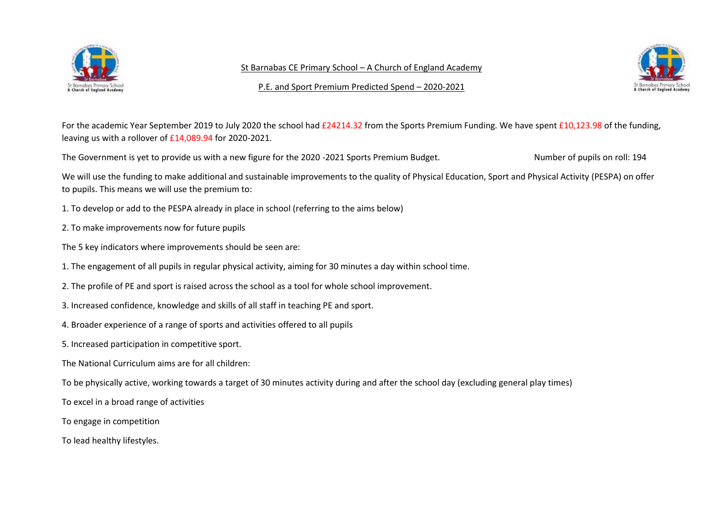

St Barnabas CE Primary School – A Church of England Academy



P.E. and Sport Premium Predicted Spend – 2020-2021

For the academic Year September 2019 to July 2020 the school had £24214.32 from the Sports Premium Funding. We have spent £10,123.98 of the funding, leaving us with a rollover of £14,089.94 for 2020-2021.

The Government is yet to provide us with a new figure for the 2020 -2021 Sports Premium Budget. Number of pupils on roll: 194

We will use the funding to make additional and sustainable improvements to the quality of Physical Education, Sport and Physical Activity (PESPA) on offer to pupils. This means we will use the premium to:

1. To develop or add to the PESPA already in place in school (referring to the aims below)

- 2. To make improvements now for future pupils
- The 5 key indicators where improvements should be seen are:
- 1. The engagement of all pupils in regular physical activity, aiming for 30 minutes a day within school time.
- 2. The profile of PE and sport is raised across the school as a tool for whole school improvement.
- 3. Increased confidence, knowledge and skills of all staff in teaching PE and sport.
- 4. Broader experience of a range of sports and activities offered to all pupils
- 5. Increased participation in competitive sport.
- The National Curriculum aims are for all children:
- To be physically active, working towards a target of 30 minutes activity during and after the school day (excluding general play times)
- To excel in a broad range of activities
- To engage in competition
- To lead healthy lifestyles.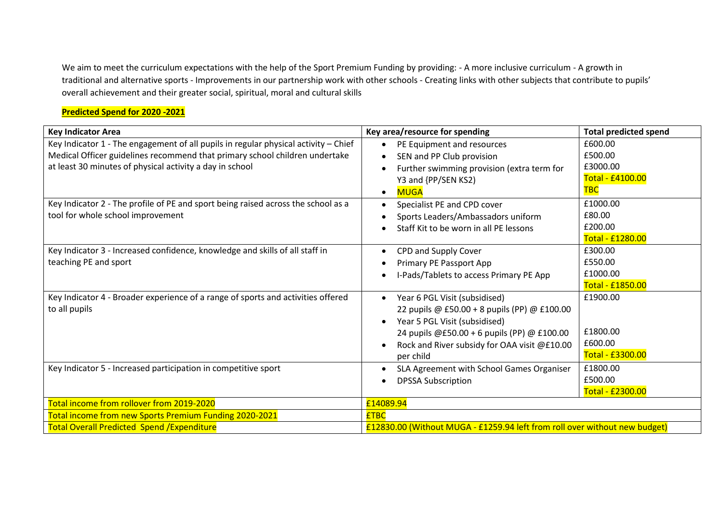We aim to meet the curriculum expectations with the help of the Sport Premium Funding by providing: - A more inclusive curriculum - A growth in traditional and alternative sports - Improvements in our partnership work with other schools - Creating links with other subjects that contribute to pupils' overall achievement and their greater social, spiritual, moral and cultural skills

## **Predicted Spend for 2020 -2021**

| <b>Key Indicator Area</b>                                                                                                                                                                                                      | Key area/resource for spending                                                                                                                                                                                                                       | <b>Total predicted spend</b>                                     |
|--------------------------------------------------------------------------------------------------------------------------------------------------------------------------------------------------------------------------------|------------------------------------------------------------------------------------------------------------------------------------------------------------------------------------------------------------------------------------------------------|------------------------------------------------------------------|
| Key Indicator 1 - The engagement of all pupils in regular physical activity - Chief<br>Medical Officer guidelines recommend that primary school children undertake<br>at least 30 minutes of physical activity a day in school | PE Equipment and resources<br>SEN and PP Club provision<br>Further swimming provision (extra term for<br>$\bullet$<br>Y3 and {PP/SEN KS2)<br><b>MUGA</b><br>$\bullet$                                                                                | £600.00<br>£500.00<br>£3000.00<br>Total - £4100.00<br><b>TBC</b> |
| Key Indicator 2 - The profile of PE and sport being raised across the school as a<br>tool for whole school improvement                                                                                                         | Specialist PE and CPD cover<br>Sports Leaders/Ambassadors uniform<br>Staff Kit to be worn in all PE lessons                                                                                                                                          | £1000.00<br>£80.00<br>£200.00<br>Total - £1280.00                |
| Key Indicator 3 - Increased confidence, knowledge and skills of all staff in<br>teaching PE and sport                                                                                                                          | CPD and Supply Cover<br>Primary PE Passport App<br>I-Pads/Tablets to access Primary PE App                                                                                                                                                           | £300.00<br>£550.00<br>£1000.00<br><b>Total - £1850.00</b>        |
| Key Indicator 4 - Broader experience of a range of sports and activities offered<br>to all pupils                                                                                                                              | Year 6 PGL Visit (subsidised)<br>22 pupils @ £50.00 + 8 pupils (PP) @ £100.00<br>Year 5 PGL Visit (subsidised)<br>$\bullet$<br>24 pupils @£50.00 + 6 pupils (PP) @ £100.00<br>Rock and River subsidy for OAA visit @£10.00<br>$\bullet$<br>per child | £1900.00<br>£1800.00<br>£600.00<br>Total - £3300.00              |
| Key Indicator 5 - Increased participation in competitive sport                                                                                                                                                                 | SLA Agreement with School Games Organiser<br><b>DPSSA Subscription</b>                                                                                                                                                                               | £1800.00<br>£500.00<br>Total - £2300.00                          |
| Total income from rollover from 2019-2020                                                                                                                                                                                      | £14089.94                                                                                                                                                                                                                                            |                                                                  |
| Total income from new Sports Premium Funding 2020-2021                                                                                                                                                                         | <b>ETBC</b>                                                                                                                                                                                                                                          |                                                                  |
| <b>Total Overall Predicted Spend / Expenditure</b>                                                                                                                                                                             | £12830.00 (Without MUGA - £1259.94 left from roll over without new budget)                                                                                                                                                                           |                                                                  |